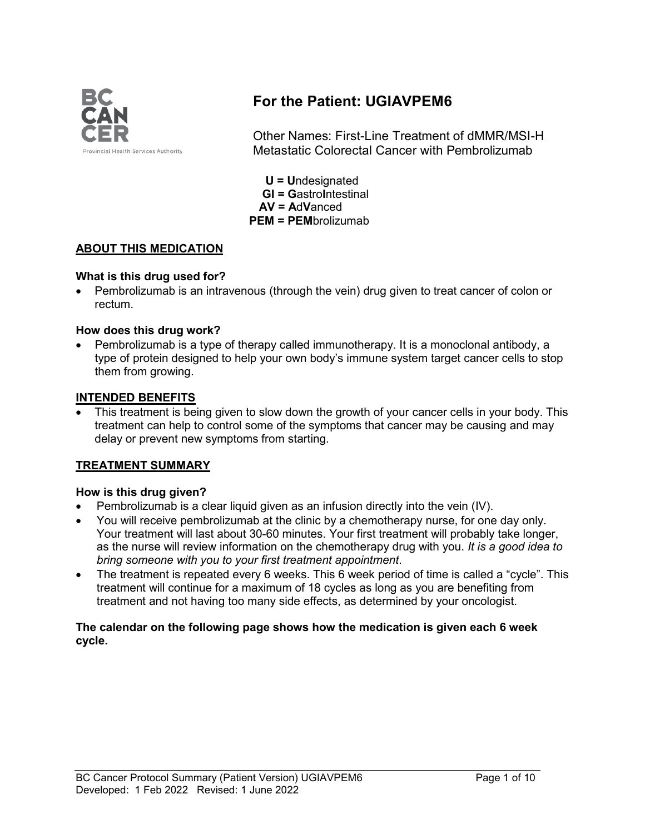

# **For the Patient: UGIAVPEM6**

Other Names: First-Line Treatment of dMMR/MSI-H Metastatic Colorectal Cancer with Pembrolizumab

 **U = U**ndesignated  **GI = G**astro**I**ntestinal  **AV = A**d**V**anced **PEM = PEM**brolizumab

# **ABOUT THIS MEDICATION**

## **What is this drug used for?**

• Pembrolizumab is an intravenous (through the vein) drug given to treat cancer of colon or rectum.

## **How does this drug work?**

• Pembrolizumab is a type of therapy called immunotherapy. It is a monoclonal antibody, a type of protein designed to help your own body's immune system target cancer cells to stop them from growing.

## **INTENDED BENEFITS**

This treatment is being given to slow down the growth of your cancer cells in your body. This treatment can help to control some of the symptoms that cancer may be causing and may delay or prevent new symptoms from starting.

# **TREATMENT SUMMARY**

# **How is this drug given?**

- Pembrolizumab is a clear liquid given as an infusion directly into the vein (IV).
- You will receive pembrolizumab at the clinic by a chemotherapy nurse, for one day only. Your treatment will last about 30-60 minutes. Your first treatment will probably take longer, as the nurse will review information on the chemotherapy drug with you. *It is a good idea to bring someone with you to your first treatment appointment*.
- The treatment is repeated every 6 weeks. This 6 week period of time is called a "cycle". This treatment will continue for a maximum of 18 cycles as long as you are benefiting from treatment and not having too many side effects, as determined by your oncologist.

#### **The calendar on the following page shows how the medication is given each 6 week cycle.**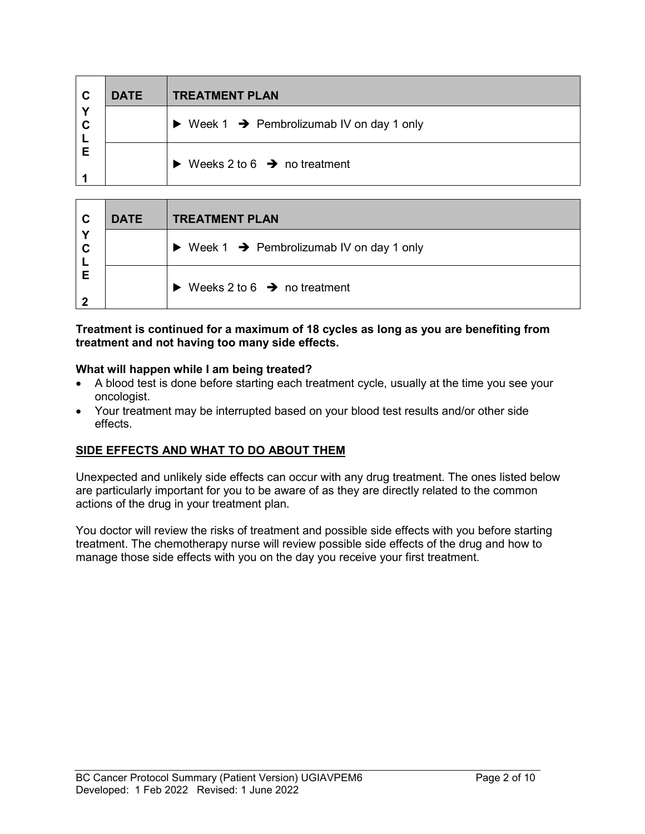| C                | <b>DATE</b> | <b>TREATMENT PLAN</b>                                                |
|------------------|-------------|----------------------------------------------------------------------|
| Y<br>$\mathbf c$ |             | $\triangleright$ Week 1 $\rightarrow$ Pembrolizumab IV on day 1 only |
| Е                |             | Weeks 2 to 6 $\rightarrow$ no treatment<br>$\blacktriangleright$     |

| $\mathbf{C}$ | <b>DATE</b> | <b>TREATMENT PLAN</b>                                                |
|--------------|-------------|----------------------------------------------------------------------|
| Υ<br>C       |             | $\triangleright$ Week 1 $\rightarrow$ Pembrolizumab IV on day 1 only |
| Е            |             | Weeks 2 to 6 $\rightarrow$ no treatment                              |

#### **Treatment is continued for a maximum of 18 cycles as long as you are benefiting from treatment and not having too many side effects.**

## **What will happen while I am being treated?**

- A blood test is done before starting each treatment cycle, usually at the time you see your oncologist.
- Your treatment may be interrupted based on your blood test results and/or other side effects.

# **SIDE EFFECTS AND WHAT TO DO ABOUT THEM**

Unexpected and unlikely side effects can occur with any drug treatment. The ones listed below are particularly important for you to be aware of as they are directly related to the common actions of the drug in your treatment plan.

You doctor will review the risks of treatment and possible side effects with you before starting treatment. The chemotherapy nurse will review possible side effects of the drug and how to manage those side effects with you on the day you receive your first treatment.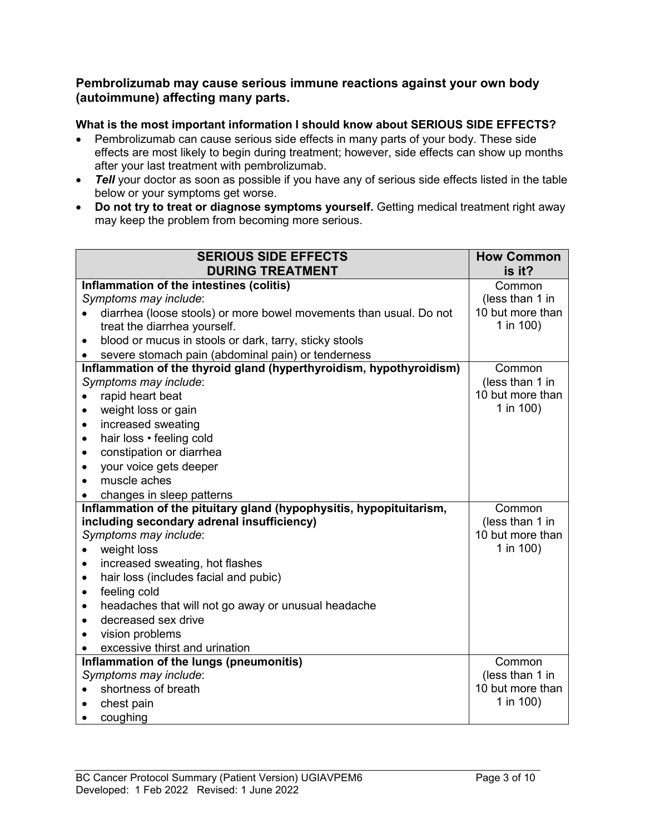# **Pembrolizumab may cause serious immune reactions against your own body (autoimmune) affecting many parts.**

# **What is the most important information I should know about SERIOUS SIDE EFFECTS?**

- Pembrolizumab can cause serious side effects in many parts of your body. These side effects are most likely to begin during treatment; however, side effects can show up months after your last treatment with pembrolizumab.
- *Tell* your doctor as soon as possible if you have any of serious side effects listed in the table below or your symptoms get worse.
- **Do not try to treat or diagnose symptoms yourself.** Getting medical treatment right away may keep the problem from becoming more serious.

| <b>SERIOUS SIDE EFFECTS</b>                                         | <b>How Common</b> |
|---------------------------------------------------------------------|-------------------|
| <b>DURING TREATMENT</b>                                             | is it?            |
| Inflammation of the intestines (colitis)                            | Common            |
| Symptoms may include:                                               | (less than 1 in   |
| diarrhea (loose stools) or more bowel movements than usual. Do not  | 10 but more than  |
| treat the diarrhea yourself.                                        | 1 in 100)         |
| blood or mucus in stools or dark, tarry, sticky stools<br>$\bullet$ |                   |
| severe stomach pain (abdominal pain) or tenderness                  |                   |
| Inflammation of the thyroid gland (hyperthyroidism, hypothyroidism) | Common            |
| Symptoms may include:                                               | (less than 1 in   |
| rapid heart beat<br>$\bullet$                                       | 10 but more than  |
| weight loss or gain<br>$\bullet$                                    | 1 in 100)         |
| increased sweating<br>$\bullet$                                     |                   |
| hair loss · feeling cold<br>$\bullet$                               |                   |
| constipation or diarrhea<br>$\bullet$                               |                   |
| your voice gets deeper<br>$\bullet$                                 |                   |
| muscle aches<br>$\bullet$                                           |                   |
| changes in sleep patterns                                           |                   |
| Inflammation of the pituitary gland (hypophysitis, hypopituitarism, | Common            |
| including secondary adrenal insufficiency)                          | (less than 1 in   |
| Symptoms may include:                                               | 10 but more than  |
| weight loss<br>$\bullet$                                            | 1 in 100)         |
| increased sweating, hot flashes<br>$\bullet$                        |                   |
| hair loss (includes facial and pubic)<br>$\bullet$                  |                   |
| feeling cold<br>$\bullet$                                           |                   |
| headaches that will not go away or unusual headache<br>$\bullet$    |                   |
| decreased sex drive<br>$\bullet$                                    |                   |
| vision problems<br>$\bullet$                                        |                   |
| excessive thirst and urination                                      |                   |
| Inflammation of the lungs (pneumonitis)                             | Common            |
| Symptoms may include:                                               | (less than 1 in   |
| shortness of breath                                                 | 10 but more than  |
| chest pain                                                          | 1 in 100)         |
| coughing                                                            |                   |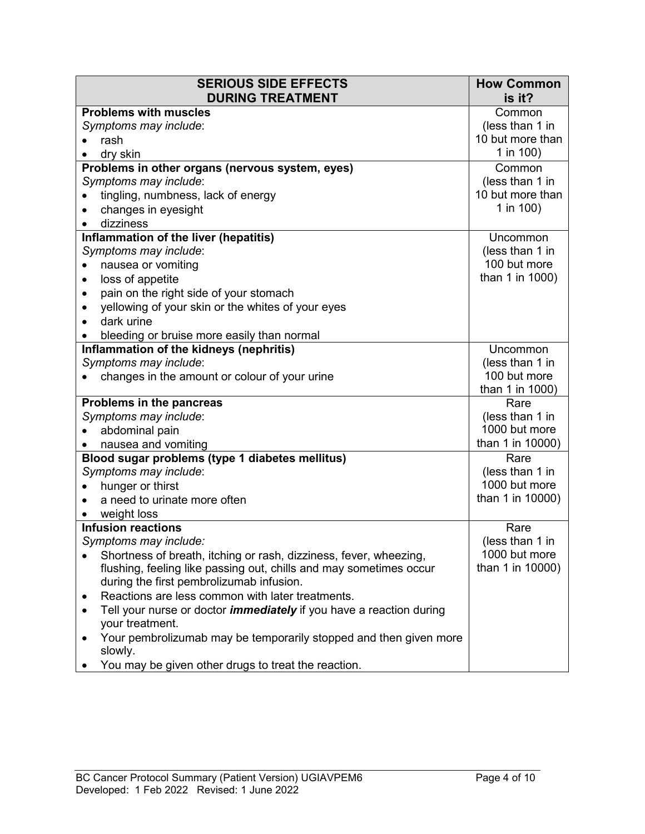| <b>SERIOUS SIDE EFFECTS</b><br><b>DURING TREATMENT</b>                                    | <b>How Common</b><br>is it?     |
|-------------------------------------------------------------------------------------------|---------------------------------|
| <b>Problems with muscles</b>                                                              | Common                          |
| Symptoms may include:                                                                     | (less than 1 in                 |
| rash                                                                                      | 10 but more than                |
| dry skin                                                                                  | 1 in 100)                       |
| Problems in other organs (nervous system, eyes)                                           | Common                          |
| Symptoms may include:                                                                     | (less than 1 in                 |
| tingling, numbness, lack of energy                                                        | 10 but more than                |
| changes in eyesight                                                                       | 1 in 100)                       |
| dizziness                                                                                 |                                 |
| Inflammation of the liver (hepatitis)                                                     | <b>Uncommon</b>                 |
| Symptoms may include:                                                                     | (less than 1 in                 |
| nausea or vomiting                                                                        | 100 but more                    |
| loss of appetite<br>٠                                                                     | than 1 in 1000)                 |
| pain on the right side of your stomach<br>$\bullet$                                       |                                 |
| yellowing of your skin or the whites of your eyes<br>$\bullet$                            |                                 |
| dark urine                                                                                |                                 |
| bleeding or bruise more easily than normal                                                |                                 |
| Inflammation of the kidneys (nephritis)                                                   | Uncommon                        |
| Symptoms may include:                                                                     | (less than 1 in                 |
| changes in the amount or colour of your urine                                             | 100 but more<br>than 1 in 1000) |
| Problems in the pancreas                                                                  | Rare                            |
| Symptoms may include:                                                                     | (less than 1 in                 |
| abdominal pain                                                                            | 1000 but more                   |
| nausea and vomiting                                                                       | than 1 in 10000)                |
| Blood sugar problems (type 1 diabetes mellitus)                                           | Rare                            |
| Symptoms may include:                                                                     | (less than 1 in                 |
| hunger or thirst                                                                          | 1000 but more                   |
| a need to urinate more often                                                              | than 1 in 10000)                |
| weight loss                                                                               |                                 |
| <b>Infusion reactions</b>                                                                 | Rare                            |
| Symptoms may include:                                                                     | (less than 1 in                 |
| Shortness of breath, itching or rash, dizziness, fever, wheezing,                         | 1000 but more                   |
| flushing, feeling like passing out, chills and may sometimes occur                        | than 1 in 10000)                |
| during the first pembrolizumab infusion.                                                  |                                 |
| Reactions are less common with later treatments.<br>$\bullet$                             |                                 |
| Tell your nurse or doctor <i>immediately</i> if you have a reaction during<br>٠           |                                 |
| your treatment.                                                                           |                                 |
| Your pembrolizumab may be temporarily stopped and then given more<br>$\bullet$<br>slowly. |                                 |
| You may be given other drugs to treat the reaction.                                       |                                 |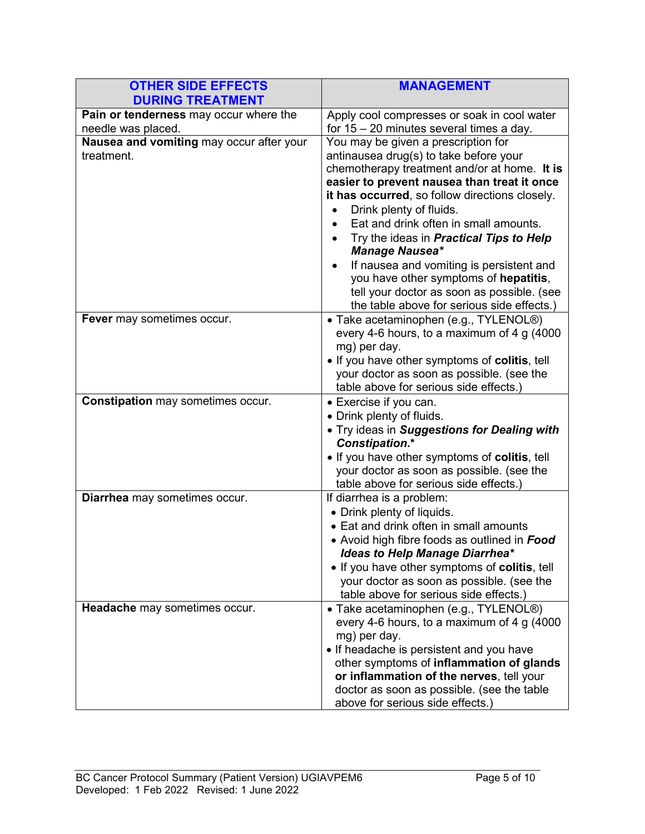| <b>OTHER SIDE EFFECTS</b><br><b>DURING TREATMENT</b>         | <b>MANAGEMENT</b>                                                                                                                                                                                                                                                                                                                                                                                                                                                                                                                                              |
|--------------------------------------------------------------|----------------------------------------------------------------------------------------------------------------------------------------------------------------------------------------------------------------------------------------------------------------------------------------------------------------------------------------------------------------------------------------------------------------------------------------------------------------------------------------------------------------------------------------------------------------|
| Pain or tenderness may occur where the<br>needle was placed. | Apply cool compresses or soak in cool water<br>for $15 - 20$ minutes several times a day.                                                                                                                                                                                                                                                                                                                                                                                                                                                                      |
| Nausea and vomiting may occur after your<br>treatment.       | You may be given a prescription for<br>antinausea drug(s) to take before your<br>chemotherapy treatment and/or at home. It is<br>easier to prevent nausea than treat it once<br>it has occurred, so follow directions closely.<br>Drink plenty of fluids.<br>Eat and drink often in small amounts.<br>Try the ideas in <b>Practical Tips to Help</b><br><b>Manage Nausea*</b><br>If nausea and vomiting is persistent and<br>you have other symptoms of hepatitis,<br>tell your doctor as soon as possible. (see<br>the table above for serious side effects.) |
| Fever may sometimes occur.                                   | • Take acetaminophen (e.g., TYLENOL <sup>®</sup> )<br>every 4-6 hours, to a maximum of 4 g (4000<br>mg) per day.<br>. If you have other symptoms of colitis, tell<br>your doctor as soon as possible. (see the<br>table above for serious side effects.)                                                                                                                                                                                                                                                                                                       |
| <b>Constipation may sometimes occur.</b>                     | • Exercise if you can.<br>• Drink plenty of fluids.<br>. Try ideas in Suggestions for Dealing with<br><b>Constipation.*</b><br>. If you have other symptoms of colitis, tell<br>your doctor as soon as possible. (see the<br>table above for serious side effects.)                                                                                                                                                                                                                                                                                            |
| Diarrhea may sometimes occur.                                | If diarrhea is a problem:<br>• Drink plenty of liquids.<br>• Eat and drink often in small amounts<br>• Avoid high fibre foods as outlined in Food<br><b>Ideas to Help Manage Diarrhea*</b><br>• If you have other symptoms of colitis, tell<br>your doctor as soon as possible. (see the<br>table above for serious side effects.)                                                                                                                                                                                                                             |
| Headache may sometimes occur.                                | • Take acetaminophen (e.g., TYLENOL <sup>®</sup> )<br>every 4-6 hours, to a maximum of 4 $g$ (4000<br>mg) per day.<br>• If headache is persistent and you have<br>other symptoms of inflammation of glands<br>or inflammation of the nerves, tell your<br>doctor as soon as possible. (see the table<br>above for serious side effects.)                                                                                                                                                                                                                       |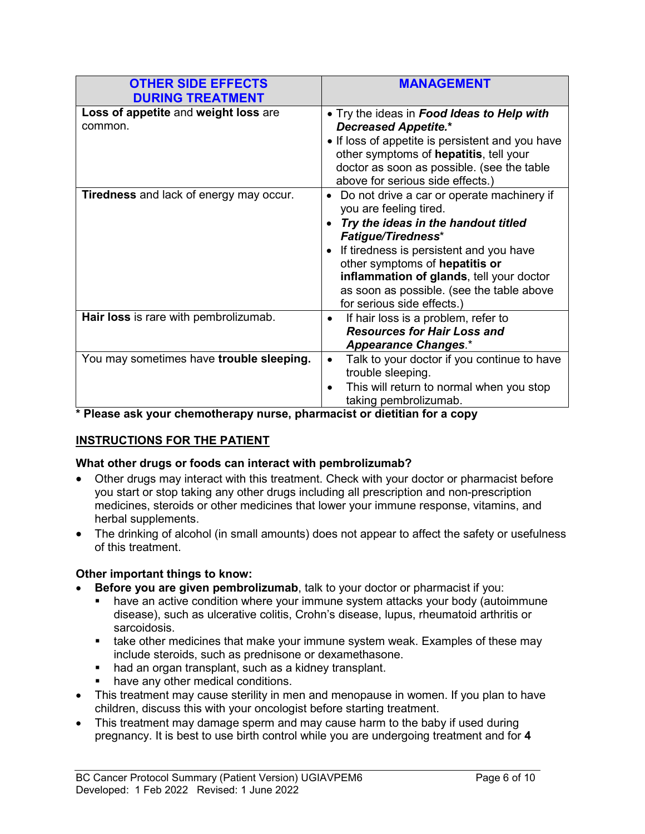| <b>OTHER SIDE EFFECTS</b><br><b>DURING TREATMENT</b> | <b>MANAGEMENT</b>                                                                                                                                                                                                                                                                                                                                         |
|------------------------------------------------------|-----------------------------------------------------------------------------------------------------------------------------------------------------------------------------------------------------------------------------------------------------------------------------------------------------------------------------------------------------------|
| Loss of appetite and weight loss are<br>common.      | • Try the ideas in Food Ideas to Help with<br><b>Decreased Appetite.*</b><br>• If loss of appetite is persistent and you have<br>other symptoms of hepatitis, tell your<br>doctor as soon as possible. (see the table<br>above for serious side effects.)                                                                                                 |
| <b>Tiredness</b> and lack of energy may occur.       | Do not drive a car or operate machinery if<br>$\bullet$<br>you are feeling tired.<br>Try the ideas in the handout titled<br><b>Fatigue/Tiredness*</b><br>If tiredness is persistent and you have<br>other symptoms of hepatitis or<br>inflammation of glands, tell your doctor<br>as soon as possible. (see the table above<br>for serious side effects.) |
| Hair loss is rare with pembrolizumab.                | If hair loss is a problem, refer to<br>$\bullet$<br><b>Resources for Hair Loss and</b><br><b>Appearance Changes.*</b>                                                                                                                                                                                                                                     |
| You may sometimes have trouble sleeping.             | Talk to your doctor if you continue to have<br>$\bullet$<br>trouble sleeping.<br>This will return to normal when you stop<br>$\bullet$<br>taking pembrolizumab.                                                                                                                                                                                           |

**\* Please ask your chemotherapy nurse, pharmacist or dietitian for a copy**

# **INSTRUCTIONS FOR THE PATIENT**

# **What other drugs or foods can interact with pembrolizumab?**

- Other drugs may interact with this treatment. Check with your doctor or pharmacist before you start or stop taking any other drugs including all prescription and non-prescription medicines, steroids or other medicines that lower your immune response, vitamins, and herbal supplements.
- The drinking of alcohol (in small amounts) does not appear to affect the safety or usefulness of this treatment.

# **Other important things to know:**

- **Before you are given pembrolizumab**, talk to your doctor or pharmacist if you:
	- have an active condition where your immune system attacks your body (autoimmune disease), such as ulcerative colitis, Crohn's disease, lupus, rheumatoid arthritis or sarcoidosis.
	- take other medicines that make your immune system weak. Examples of these may include steroids, such as prednisone or dexamethasone.
	- had an organ transplant, such as a kidney transplant.
	- have any other medical conditions.
- This treatment may cause sterility in men and menopause in women. If you plan to have children, discuss this with your oncologist before starting treatment.
- This treatment may damage sperm and may cause harm to the baby if used during pregnancy. It is best to use birth control while you are undergoing treatment and for **4**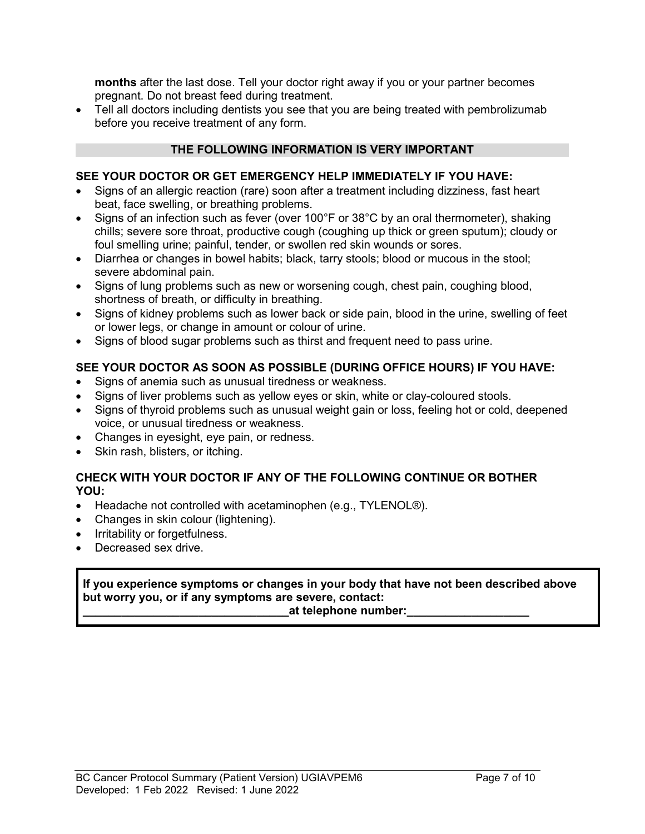**months** after the last dose. Tell your doctor right away if you or your partner becomes pregnant. Do not breast feed during treatment.

• Tell all doctors including dentists you see that you are being treated with pembrolizumab before you receive treatment of any form.

# **THE FOLLOWING INFORMATION IS VERY IMPORTANT**

# **SEE YOUR DOCTOR OR GET EMERGENCY HELP IMMEDIATELY IF YOU HAVE:**

- Signs of an allergic reaction (rare) soon after a treatment including dizziness, fast heart beat, face swelling, or breathing problems.
- Signs of an infection such as fever (over 100°F or 38°C by an oral thermometer), shaking chills; severe sore throat, productive cough (coughing up thick or green sputum); cloudy or foul smelling urine; painful, tender, or swollen red skin wounds or sores.
- Diarrhea or changes in bowel habits; black, tarry stools; blood or mucous in the stool; severe abdominal pain.
- Signs of lung problems such as new or worsening cough, chest pain, coughing blood, shortness of breath, or difficulty in breathing.
- Signs of kidney problems such as lower back or side pain, blood in the urine, swelling of feet or lower legs, or change in amount or colour of urine.
- Signs of blood sugar problems such as thirst and frequent need to pass urine.

# **SEE YOUR DOCTOR AS SOON AS POSSIBLE (DURING OFFICE HOURS) IF YOU HAVE:**

- Signs of anemia such as unusual tiredness or weakness.
- Signs of liver problems such as yellow eyes or skin, white or clay-coloured stools.
- Signs of thyroid problems such as unusual weight gain or loss, feeling hot or cold, deepened voice, or unusual tiredness or weakness.
- Changes in eyesight, eye pain, or redness.
- Skin rash, blisters, or itching.

# **CHECK WITH YOUR DOCTOR IF ANY OF THE FOLLOWING CONTINUE OR BOTHER YOU:**

- Headache not controlled with acetaminophen (e.g., TYLENOL®).
- Changes in skin colour (lightening).
- Irritability or forgetfulness.
- Decreased sex drive.

## **If you experience symptoms or changes in your body that have not been described above but worry you, or if any symptoms are severe, contact:**

#### **\_\_\_\_\_\_\_\_\_\_\_\_\_\_\_\_\_\_\_\_\_\_\_\_\_\_\_\_\_\_\_\_at telephone number:\_\_\_\_\_\_\_\_\_\_\_\_\_\_\_\_\_\_\_**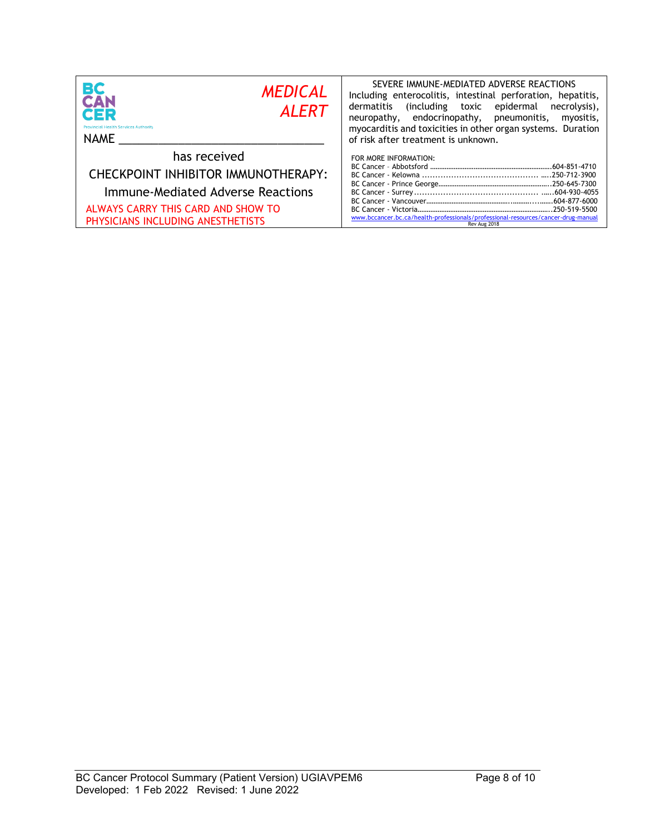| <b>BC</b><br>CAN<br><b>MEDICAL</b><br><b>ALERT</b><br>QER<br><b>Provincial Health Services Authority</b><br>NAME                                                    | SEVERE IMMUNE-MEDIATED ADVERSE REACTIONS<br>Including enterocolitis, intestinal perforation, hepatitis,<br>dermatitis<br>including toxic epidermal)<br>necrolysis),<br>neuropathy, endocrinopathy, pneumonitis,<br>myositis,<br>myocarditis and toxicities in other organ systems. Duration<br>of risk after treatment is unknown. |
|---------------------------------------------------------------------------------------------------------------------------------------------------------------------|------------------------------------------------------------------------------------------------------------------------------------------------------------------------------------------------------------------------------------------------------------------------------------------------------------------------------------|
| has received<br>CHECKPOINT INHIBITOR IMMUNOTHERAPY:<br>Immune-Mediated Adverse Reactions<br>ALWAYS CARRY THIS CARD AND SHOW TO<br>PHYSICIANS INCLUDING ANESTHETISTS | FOR MORE INFORMATION:<br>www.bccancer.bc.ca/health-professionals/professional-resources/cancer-drug-manual<br>Rev Aug 2018                                                                                                                                                                                                         |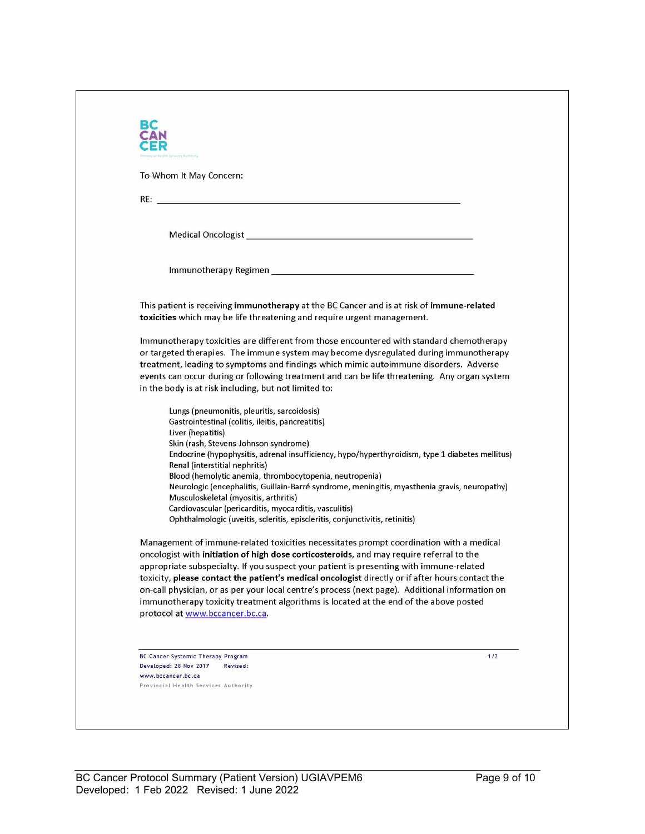| To Whom It May Concern:                                                                                                                |                                                                                                                                                                                     |
|----------------------------------------------------------------------------------------------------------------------------------------|-------------------------------------------------------------------------------------------------------------------------------------------------------------------------------------|
|                                                                                                                                        |                                                                                                                                                                                     |
|                                                                                                                                        |                                                                                                                                                                                     |
|                                                                                                                                        |                                                                                                                                                                                     |
|                                                                                                                                        |                                                                                                                                                                                     |
|                                                                                                                                        |                                                                                                                                                                                     |
|                                                                                                                                        |                                                                                                                                                                                     |
| toxicities which may be life threatening and require urgent management.                                                                | This patient is receiving immunotherapy at the BC Cancer and is at risk of immune-related                                                                                           |
|                                                                                                                                        | Immunotherapy toxicities are different from those encountered with standard chemotherapy<br>or targeted therapies. The immune system may become dysregulated during immunotherapy   |
|                                                                                                                                        | treatment, leading to symptoms and findings which mimic autoimmune disorders. Adverse                                                                                               |
|                                                                                                                                        | events can occur during or following treatment and can be life threatening. Any organ system                                                                                        |
| in the body is at risk including, but not limited to:                                                                                  |                                                                                                                                                                                     |
| Lungs (pneumonitis, pleuritis, sarcoidosis)                                                                                            |                                                                                                                                                                                     |
| Gastrointestinal (colitis, ileitis, pancreatitis)<br>Liver (hepatitis)                                                                 |                                                                                                                                                                                     |
| Skin (rash, Stevens-Johnson syndrome)                                                                                                  |                                                                                                                                                                                     |
|                                                                                                                                        | Endocrine (hypophysitis, adrenal insufficiency, hypo/hyperthyroidism, type 1 diabetes mellitus)                                                                                     |
| Renal (interstitial nephritis)<br>Blood (hemolytic anemia, thrombocytopenia, neutropenia)                                              |                                                                                                                                                                                     |
|                                                                                                                                        | Neurologic (encephalitis, Guillain-Barré syndrome, meningitis, myasthenia gravis, neuropathy)                                                                                       |
| Musculoskeletal (myositis, arthritis)                                                                                                  |                                                                                                                                                                                     |
| Cardiovascular (pericarditis, myocarditis, vasculitis)<br>Ophthalmologic (uveitis, scleritis, episcleritis, conjunctivitis, retinitis) |                                                                                                                                                                                     |
|                                                                                                                                        | Management of immune-related toxicities necessitates prompt coordination with a medical                                                                                             |
|                                                                                                                                        | oncologist with initiation of high dose corticosteroids, and may require referral to the<br>appropriate subspecialty. If you suspect your patient is presenting with immune-related |
|                                                                                                                                        | toxicity, please contact the patient's medical oncologist directly or if after hours contact the                                                                                    |
|                                                                                                                                        | on-call physician, or as per your local centre's process (next page). Additional information on                                                                                     |
|                                                                                                                                        | immunotherapy toxicity treatment algorithms is located at the end of the above posted                                                                                               |
| protocol at www.bccancer.bc.ca.                                                                                                        |                                                                                                                                                                                     |
|                                                                                                                                        |                                                                                                                                                                                     |
| BC Cancer Systemic Therapy Program                                                                                                     | 1/2                                                                                                                                                                                 |
| Developed: 28 Nov 2017<br>Revised:<br>www.bccancer.bc.ca                                                                               |                                                                                                                                                                                     |